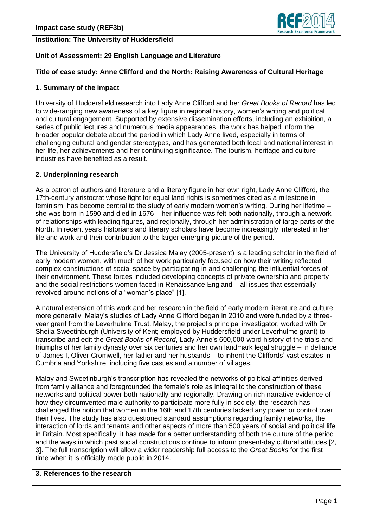## **Institution: The University of Huddersfield**



# **Unit of Assessment: 29 English Language and Literature**

# **Title of case study: Anne Clifford and the North: Raising Awareness of Cultural Heritage**

## **1. Summary of the impact**

University of Huddersfield research into Lady Anne Clifford and her *Great Books of Record* has led to wide-ranging new awareness of a key figure in regional history, women's writing and political and cultural engagement. Supported by extensive dissemination efforts, including an exhibition, a series of public lectures and numerous media appearances, the work has helped inform the broader popular debate about the period in which Lady Anne lived, especially in terms of challenging cultural and gender stereotypes, and has generated both local and national interest in her life, her achievements and her continuing significance. The tourism, heritage and culture industries have benefited as a result.

# **2. Underpinning research**

As a patron of authors and literature and a literary figure in her own right, Lady Anne Clifford, the 17th-century aristocrat whose fight for equal land rights is sometimes cited as a milestone in feminism, has become central to the study of early modern women's writing. During her lifetime – she was born in 1590 and died in 1676 – her influence was felt both nationally, through a network of relationships with leading figures, and regionally, through her administration of large parts of the North. In recent years historians and literary scholars have become increasingly interested in her life and work and their contribution to the larger emerging picture of the period.

The University of Huddersfield"s Dr Jessica Malay (2005-present) is a leading scholar in the field of early modern women, with much of her work particularly focused on how their writing reflected complex constructions of social space by participating in and challenging the influential forces of their environment. These forces included developing concepts of private ownership and property and the social restrictions women faced in Renaissance England – all issues that essentially revolved around notions of a "woman"s place" [1].

A natural extension of this work and her research in the field of early modern literature and culture more generally, Malay"s studies of Lady Anne Clifford began in 2010 and were funded by a threeyear grant from the Leverhulme Trust. Malay, the project's principal investigator, worked with Dr Sheila Sweetinburgh (University of Kent; employed by Huddersfield under Leverhulme grant) to transcribe and edit the *Great Books of Record*, Lady Anne"s 600,000-word history of the trials and triumphs of her family dynasty over six centuries and her own landmark legal struggle – in defiance of James I, Oliver Cromwell, her father and her husbands – to inherit the Cliffords" vast estates in Cumbria and Yorkshire, including five castles and a number of villages.

Malay and Sweetinburgh"s transcription has revealed the networks of political affinities derived from family alliance and foregrounded the female"s role as integral to the construction of these networks and political power both nationally and regionally. Drawing on rich narrative evidence of how they circumvented male authority to participate more fully in society, the research has challenged the notion that women in the 16th and 17th centuries lacked any power or control over their lives. The study has also questioned standard assumptions regarding family networks, the interaction of lords and tenants and other aspects of more than 500 years of social and political life in Britain. Most specifically, it has made for a better understanding of both the culture of the period and the ways in which past social constructions continue to inform present-day cultural attitudes [2, 3]. The full transcription will allow a wider readership full access to the *Great Books* for the first time when it is officially made public in 2014.

#### **3. References to the research**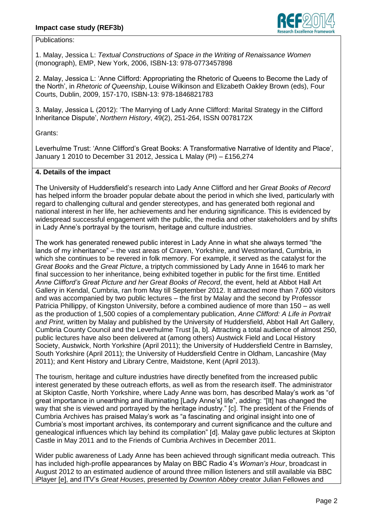

Publications:

1. Malay, Jessica L: *Textual Constructions of Space in the Writing of Renaissance Women* (monograph), EMP, New York, 2006, ISBN-13: 978-0773457898

2. Malay, Jessica L: "Anne Clifford: Appropriating the Rhetoric of Queens to Become the Lady of the North", in *Rhetoric of Queenship*, Louise Wilkinson and Elizabeth Oakley Brown (eds), Four Courts, Dublin, 2009, 157-170, ISBN-13: 978-1846821783

3. Malay, Jessica L (2012): "The Marrying of Lady Anne Clifford: Marital Strategy in the Clifford Inheritance Dispute", *Northern History*, 49(2), 251-264, ISSN 0078172X

Grants:

Leverhulme Trust: "Anne Clifford"s Great Books: A Transformative Narrative of Identity and Place", January 1 2010 to December 31 2012, Jessica L Malay (PI) – £156,274

# **4. Details of the impact**

The University of Huddersfield"s research into Lady Anne Clifford and her *Great Books of Record*  has helped inform the broader popular debate about the period in which she lived, particularly with regard to challenging cultural and gender stereotypes, and has generated both regional and national interest in her life, her achievements and her enduring significance. This is evidenced by widespread successful engagement with the public, the media and other stakeholders and by shifts in Lady Anne's portrayal by the tourism, heritage and culture industries.

The work has generated renewed public interest in Lady Anne in what she always termed "the lands of my inheritance" – the vast areas of Craven, Yorkshire, and Westmorland, Cumbria, in which she continues to be revered in folk memory. For example, it served as the catalyst for the *Great Books* and the *Great Picture*, a triptych commissioned by Lady Anne in 1646 to mark her final succession to her inheritance, being exhibited together in public for the first time. Entitled *Anne Clifford's Great Picture and her Great Books of Record*, the event, held at Abbot Hall Art Gallery in Kendal, Cumbria, ran from May till September 2012. It attracted more than 7,600 visitors and was accompanied by two public lectures – the first by Malay and the second by Professor Patricia Phillippy, of Kingston University, before a combined audience of more than 150 – as well as the production of 1,500 copies of a complementary publication, *Anne Clifford: A Life in Portrait and Print*, written by Malay and published by the University of Huddersfield, Abbot Hall Art Gallery, Cumbria County Council and the Leverhulme Trust [a, b]. Attracting a total audience of almost 250, public lectures have also been delivered at (among others) Austwick Field and Local History Society, Austwick, North Yorkshire (April 2011); the University of Huddersfield Centre in Barnsley, South Yorkshire (April 2011); the University of Huddersfield Centre in Oldham, Lancashire (May 2011); and Kent History and Library Centre, Maidstone, Kent (April 2013).

The tourism, heritage and culture industries have directly benefited from the increased public interest generated by these outreach efforts, as well as from the research itself. The administrator at Skipton Castle, North Yorkshire, where Lady Anne was born, has described Malay"s work as "of great importance in unearthing and illuminating [Lady Anne"s] life", adding: "[It] has changed the way that she is viewed and portrayed by the heritage industry." [c]. The president of the Friends of Cumbria Archives has praised Malay"s work as "a fascinating and original insight into one of Cumbria"s most important archives, its contemporary and current significance and the culture and genealogical influences which lay behind its compilation" [d]. Malay gave public lectures at Skipton Castle in May 2011 and to the Friends of Cumbria Archives in December 2011.

Wider public awareness of Lady Anne has been achieved through significant media outreach. This has included high-profile appearances by Malay on BBC Radio 4"s *Woman's Hour*, broadcast in August 2012 to an estimated audience of around three million listeners and still available via BBC iPlayer [e], and ITV"s *Great Houses*, presented by *Downton Abbey* creator Julian Fellowes and